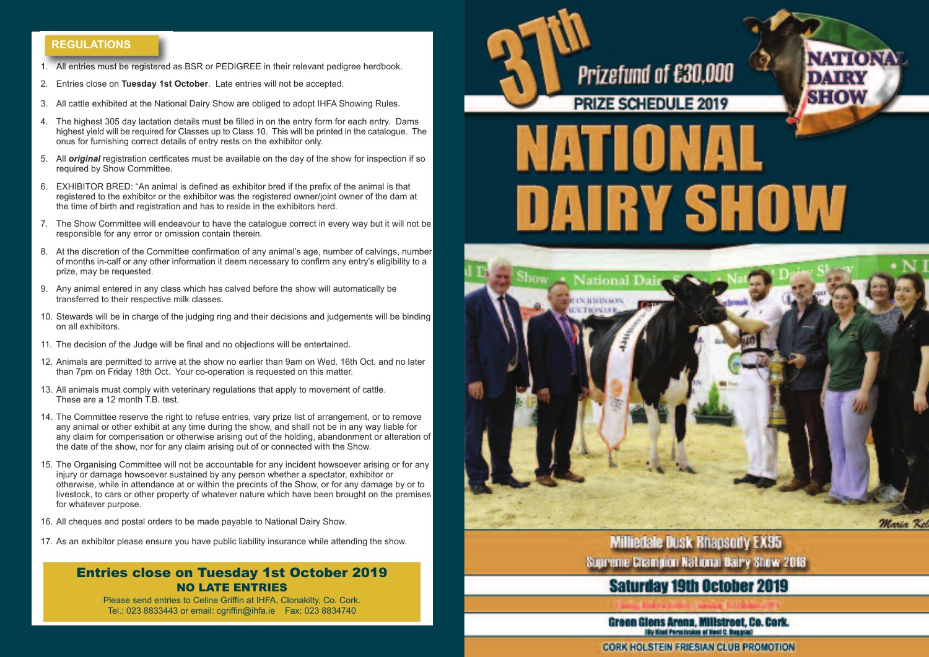## **REGULATIONS**

- 1. All entries must be registered as BSR or PEDIGREE in their relevant pedigree herdbook.
- 2. Entries close on **Tuesday 1st October**. Late entries will not be accepted.
- 3. All cattle exhibited at the National Dairy Show are obliged to adopt IHFA Showing Rules.
- 4. The highest 305 day lactation details must be filled in on the entry form for each entry. Dams highest yield will be required for Classes up to Class 10. This will be printed in the catalogue. The onus for furnishing correct details of entry rests on the exhibitor only.
- 5. All *original* registration certficates must be available on the day of the show for inspection if so required by Show Committee.
- 6. EXHIBITOR BRED: "An animal is defined as exhibitor bred if the prefix of the animal is that registered to the exhibitor or the exhibitor was the registered owner/joint owner of the dam at the time of birth and registration and has to reside in the exhibitors herd.
- 7. The Show Committee will endeavour to have the catalogue correct in every way but it will not be responsible for any error or omission contain therein.
- 8. At the discretion of the Committee confirmation of any animal's age, number of calvings, number of months in-calf or any other information it deem necessary to confirm any entry's eligibility to a prize, may be requested.
- 9. Any animal entered in any class which has calved before the show will automatically be transferred to their respective milk classes.
- 10. Stewards will be in charge of the judging ring and their decisions and judgements will be binding on all exhibitors.
- 11. The decision of the Judge will be final and no objections will be entertained.
- 12. Animals are permitted to arrive at the show no earlier than 9am on Wed. 16th Oct. and no later than 7pm on Friday 18th Oct. Your co-operation is requested on this matter.
- 13. All animals must comply with veterinary regulations that apply to movement of cattle. These are a 12 month  $\overline{I}$  B test.
- 14. The Committee reserve the right to refuse entries, vary prize list of arrangement, or to remove any animal or other exhibit at any time during the show, and shall not be in any way liable for any claim for compensation or otherwise arising out of the holding, abandonment or alteration of the date of the show, nor for any claim arising out of or connected with the Show.
- 15. The Organising Committee will not be accountable for any incident howsoever arising or for any injury or damage howsoever sustained by any person whether a spectator, exhibitor or otherwise, while in attendance at or within the precints of the Show, or for any damage by or to livestock, to cars or other property of whatever nature which have been brought on the premises for whatever purpose.
- 16. All cheques and postal orders to be made payable to National Dairy Show.
- 17. As an exhibitor please ensure you have public liability insurance while attending the show.

# Entries close on Tuesday 1st October 2019 NO LATE ENTRIES

Please send entries to Celine Griffin at IHFA, Clonakilty, Co. Cork. Tel.: 023 8833443 or email: cgriffin@ihfa.ie Fax: 023 8834740

Prizefund of £30,000

**PRIZE SCHEDULE 2019** 

NATIONA

**NATIONAL** 

**DAIRY SHOW** 



**Milliedale Dusk Rhapsody EX95** Supreme Champion National Bairy Show 2018

# **Saturday 19th October 2019**

Green Glens Arena, Millstreet, Co. Cork. **IBy Kind Permission of Heal C. Buggont** 

**CORK HOLSTEIN FRIESIAN CLUB PROMOTION**